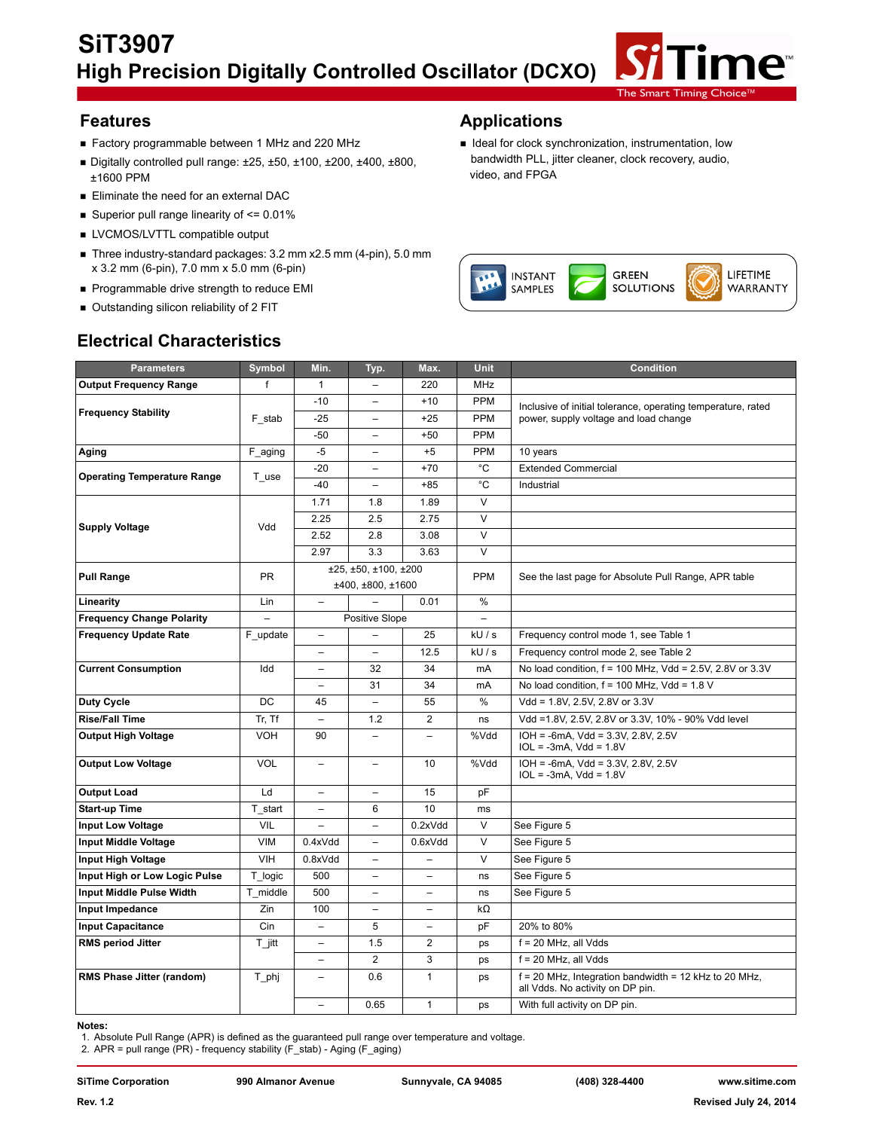

- Factory programmable between 1 MHz and 220 MHz **IDEAL IS** Ideal for clock synchronization, instrumentation, low
- $\blacksquare$  Digitally controlled pull range:  $\pm 25, \pm 50, \pm 100, \pm 200, \pm 400, \pm 800,$ ±1600 PPM
- **Eliminate the need for an external DAC**
- Superior pull range linearity of  $\leq 0.01\%$
- **EXECUTE LVCMOS/LVTTL compatible output**
- Three industry-standard packages: 3.2 mm x2.5 mm (4-pin), 5.0 mm x 3.2 mm (6-pin), 7.0 mm x 5.0 mm (6-pin)
- Programmable drive strength to reduce EMI
- Outstanding silicon reliability of 2 FIT

## **Features Applications**

bandwidth PLL, jitter cleaner, clock recovery, audio, video, and FPGA



| <b>Parameters</b>                  | Symbol     | Min.                     | Typ.                     | Max.                     | <b>Unit</b>              | <b>Condition</b>                                                                            |  |  |
|------------------------------------|------------|--------------------------|--------------------------|--------------------------|--------------------------|---------------------------------------------------------------------------------------------|--|--|
| <b>Output Frequency Range</b>      | f          | $\mathbf{1}$             |                          | 220                      | <b>MHz</b>               |                                                                                             |  |  |
|                                    |            | $-10$                    | $\overline{a}$           | $+10$                    | <b>PPM</b>               | Inclusive of initial tolerance, operating temperature, rated                                |  |  |
| <b>Frequency Stability</b>         | F stab     | $-25$                    | $\qquad \qquad -$        | $+25$                    | <b>PPM</b>               | power, supply voltage and load change                                                       |  |  |
|                                    |            | $-50$                    | $\overline{\phantom{0}}$ | $+50$                    | <b>PPM</b>               |                                                                                             |  |  |
| Aging                              | F_aging    | $-5$                     | $\overline{\phantom{0}}$ | $+5$                     | PPM                      | 10 years                                                                                    |  |  |
|                                    |            | $-20$                    | $\overline{a}$           | $+70$                    | $^{\circ}C$              | <b>Extended Commercial</b><br>Industrial                                                    |  |  |
| <b>Operating Temperature Range</b> | T use      | $-40$                    | $\overline{\phantom{0}}$ | $+85$                    | $^{\circ}C$              |                                                                                             |  |  |
|                                    |            | 1.71                     | 1.8                      | 1.89                     | $\vee$                   |                                                                                             |  |  |
|                                    |            | 2.25                     | 2.5                      | 2.75                     | $\overline{\mathsf{v}}$  |                                                                                             |  |  |
| <b>Supply Voltage</b>              | Vdd        | 2.52                     | 2.8                      | 3.08                     | $\vee$                   |                                                                                             |  |  |
|                                    |            | 2.97                     | 3.3                      | 3.63                     | $\vee$                   |                                                                                             |  |  |
| <b>Pull Range</b>                  | <b>PR</b>  |                          | ±25, ±50, ±100, ±200     |                          | <b>PPM</b>               |                                                                                             |  |  |
|                                    |            |                          | ±400, ±800, ±1600        |                          |                          | See the last page for Absolute Pull Range, APR table                                        |  |  |
| Linearity                          | Lin        | $\overline{\phantom{0}}$ |                          | 0.01                     | $\%$                     |                                                                                             |  |  |
| <b>Frequency Change Polarity</b>   |            |                          | Positive Slope           |                          | $\overline{\phantom{0}}$ |                                                                                             |  |  |
| <b>Frequency Update Rate</b>       | F update   | $\qquad \qquad -$        |                          | 25                       | kU/s                     | Frequency control mode 1, see Table 1                                                       |  |  |
|                                    |            | ÷                        | $\overline{\phantom{0}}$ | 12.5                     | kU/s                     | Frequency control mode 2, see Table 2                                                       |  |  |
| <b>Current Consumption</b>         | Idd        |                          | 32                       | 34                       | mA                       | No load condition, f = 100 MHz, Vdd = 2.5V, 2.8V or 3.3V                                    |  |  |
|                                    |            |                          | 31                       | 34                       | mA                       | No load condition, $f = 100$ MHz, Vdd = 1.8 V                                               |  |  |
| <b>Duty Cycle</b>                  | <b>DC</b>  | 45                       | $\equiv$                 | 55                       | %                        | Vdd = 1.8V, 2.5V, 2.8V or 3.3V                                                              |  |  |
| <b>Rise/Fall Time</b>              | Tr, Tf     |                          | 1.2                      | $\overline{2}$           | ns                       | Vdd =1.8V, 2.5V, 2.8V or 3.3V, 10% - 90% Vdd level                                          |  |  |
| <b>Output High Voltage</b>         | <b>VOH</b> | 90                       | $\overline{\phantom{0}}$ | $\overline{\phantom{0}}$ | %Vdd                     | IOH = -6mA, Vdd = 3.3V, 2.8V, 2.5V<br>$IOL = -3mA$ , $Vdd = 1.8V$                           |  |  |
| <b>Output Low Voltage</b>          | <b>VOL</b> | $\overline{\phantom{0}}$ | $\overline{\phantom{m}}$ | 10                       | %Vdd                     | $IOH = -6mA$ , $Vdd = 3.3V$ , $2.8V$ , $2.5V$<br>$IOL = -3mA$ , $Vdd = 1.8V$                |  |  |
| <b>Output Load</b>                 | Ld         |                          |                          | 15                       | pF                       |                                                                                             |  |  |
| <b>Start-up Time</b>               | T start    | L.                       | 6                        | 10                       | ms                       |                                                                                             |  |  |
| <b>Input Low Voltage</b>           | VIL        |                          |                          | 0.2xVdd                  | $\vee$                   | See Figure 5                                                                                |  |  |
| <b>Input Middle Voltage</b>        | <b>VIM</b> | 0.4xVdd                  | $\qquad \qquad -$        | 0.6xVdd                  | $\vee$                   | See Figure 5                                                                                |  |  |
| <b>Input High Voltage</b>          | <b>VIH</b> | 0.8xVdd                  | $\qquad \qquad -$        | $\overline{\phantom{0}}$ | $\overline{\mathsf{v}}$  | See Figure 5                                                                                |  |  |
| Input High or Low Logic Pulse      | T logic    | 500                      | $\qquad \qquad -$        | $\overline{\phantom{0}}$ | ns                       | See Figure 5                                                                                |  |  |
| Input Middle Pulse Width           | T middle   | 500                      | $\qquad \qquad -$        | $\qquad \qquad -$        | ns                       | See Figure 5                                                                                |  |  |
| Input Impedance                    | Zin        | 100                      | $\overline{\phantom{a}}$ | $\overline{\phantom{0}}$ | kΩ                       |                                                                                             |  |  |
| <b>Input Capacitance</b>           | Cin        |                          | 5                        |                          | pF                       | 20% to 80%                                                                                  |  |  |
| <b>RMS period Jitter</b>           | $T$ jitt   | $\overline{\phantom{0}}$ | 1.5                      | $\overline{2}$           | ps                       | $f = 20$ MHz, all Vdds                                                                      |  |  |
|                                    |            |                          | $\overline{2}$           | 3                        | ps                       | $f = 20$ MHz, all Vdds                                                                      |  |  |
| RMS Phase Jitter (random)          | T_phj      | L.                       | 0.6                      | $\mathbf{1}$             | ps                       | $f = 20$ MHz, Integration bandwidth = 12 kHz to 20 MHz,<br>all Vdds. No activity on DP pin. |  |  |
|                                    |            | $\overline{\phantom{0}}$ | 0.65                     | $\mathbf{1}$             | ps                       | With full activity on DP pin.                                                               |  |  |

# **Electrical Characteristics**

#### **Notes:**

1. Absolute Pull Range (APR) is defined as the guaranteed pull range over temperature and voltage.

2. APR = pull range (PR) - frequency stability (F\_stab) - Aging (F\_aging)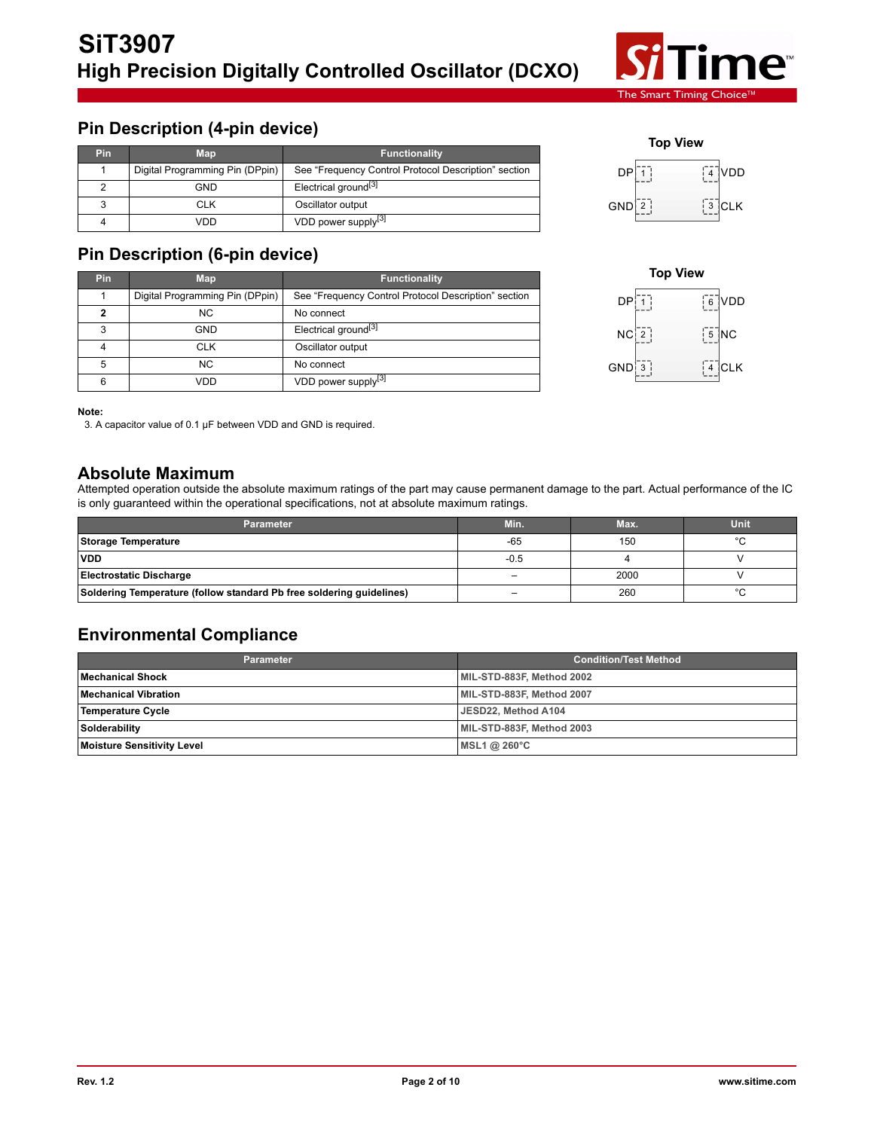

# **Pin Description (4-pin device)**

| <b>Pin</b> | <b>Map</b>                      | <b>Functionality</b>                                 |
|------------|---------------------------------|------------------------------------------------------|
|            | Digital Programming Pin (DPpin) | See "Frequency Control Protocol Description" section |
|            | GND                             | Electrical ground <sup>[3]</sup>                     |
|            | CLK                             | Oscillator output                                    |
|            | VDD                             | VDD power supply <sup>[3]</sup>                      |

# **Pin Description (6-pin device)**

| <b>Pin</b> | <b>Map</b>                      | <b>Functionality</b>                                 |
|------------|---------------------------------|------------------------------------------------------|
|            | Digital Programming Pin (DPpin) | See "Frequency Control Protocol Description" section |
| 2          | NC.                             | No connect                                           |
| 3          | GND                             | Electrical ground <sup>[3]</sup>                     |
|            | CLK                             | Oscillator output                                    |
| 5          | <b>NC</b>                       | No connect                                           |
| 6          | vnn                             | VDD power supply <sup>[3]</sup>                      |





#### **Note:**

3. A capacitor value of 0.1 µF between VDD and GND is required.

## **Absolute Maximum**

Attempted operation outside the absolute maximum ratings of the part may cause permanent damage to the part. Actual performance of the IC is only guaranteed within the operational specifications, not at absolute maximum ratings.

| Parameter                                                            | Min.                     | Max. | Unit    |
|----------------------------------------------------------------------|--------------------------|------|---------|
| Storage Temperature                                                  | $-65$                    | 150  | $\circ$ |
| <b>VDD</b>                                                           | $-0.5$                   |      |         |
| <b>Electrostatic Discharge</b>                                       | -                        | 2000 |         |
| Soldering Temperature (follow standard Pb free soldering quidelines) | $\overline{\phantom{0}}$ | 260  |         |

# **Environmental Compliance**

| Parameter                  | <b>Condition/Test Method</b> |
|----------------------------|------------------------------|
| Mechanical Shock           | MIL-STD-883F, Method 2002    |
| Mechanical Vibration       | MIL-STD-883F, Method 2007    |
| Temperature Cycle          | JESD22. Method A104          |
| Solderability              | MIL-STD-883F, Method 2003    |
| Moisture Sensitivity Level | MSL1 @ $260^{\circ}$ C       |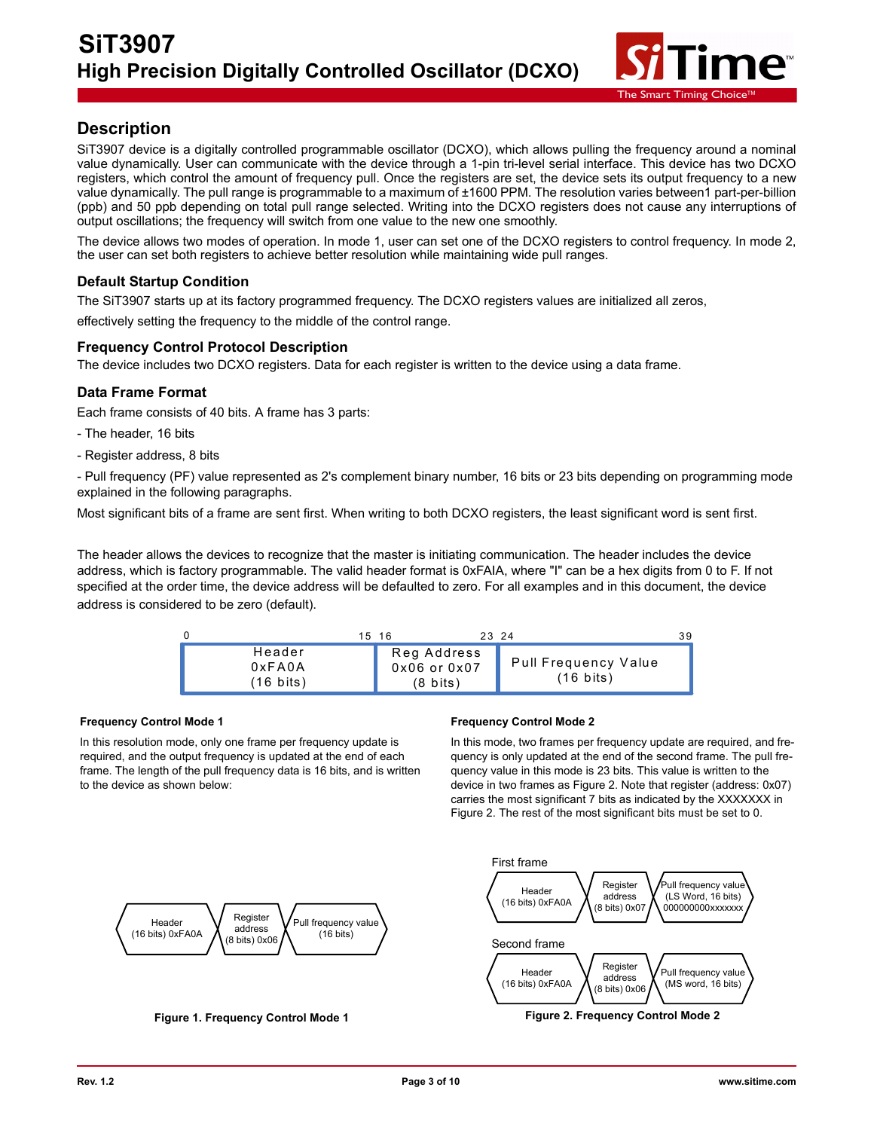

# **Description**

SiT3907 device is a digitally controlled programmable oscillator (DCXO), which allows pulling the frequency around a nominal value dynamically. User can communicate with the device through a 1-pin tri-level serial interface. This device has two DCXO registers, which control the amount of frequency pull. Once the registers are set, the device sets its output frequency to a new value dynamically. The pull range is programmable to a maximum of ±1600 PPM. The resolution varies between1 part-per-billion (ppb) and 50 ppb depending on total pull range selected. Writing into the DCXO registers does not cause any interruptions of output oscillations; the frequency will switch from one value to the new one smoothly.

The device allows two modes of operation. In mode 1, user can set one of the DCXO registers to control frequency. In mode 2, the user can set both registers to achieve better resolution while maintaining wide pull ranges.

### **Default Startup Condition**

The SiT3907 starts up at its factory programmed frequency. The DCXO registers values are initialized all zeros, effectively setting the frequency to the middle of the control range.

### **Frequency Control Protocol Description**

The device includes two DCXO registers. Data for each register is written to the device using a data frame.

### **Data Frame Format**

Each frame consists of 40 bits. A frame has 3 parts:

- The header, 16 bits
- Register address, 8 bits

- Pull frequency (PF) value represented as 2's complement binary number, 16 bits or 23 bits depending on programming mode explained in the following paragraphs.

Most significant bits of a frame are sent first. When writing to both DCXO registers, the least significant word is sent first.

The header allows the devices to recognize that the master is initiating communication. The header includes the device address, which is factory programmable. The valid header format is 0xFAIA, where "I" can be a hex digits from 0 to F. If not specified at the order time, the device address will be defaulted to zero. For all examples and in this document, the device address is considered to be zero (default).



#### **Frequency Control Mode 1**

In this resolution mode, only one frame per frequency update is required, and the output frequency is updated at the end of each frame. The length of the pull frequency data is 16 bits, and is written to the device as shown below:

#### **Frequency Control Mode 2**

In this mode, two frames per frequency update are required, and frequency is only updated at the end of the second frame. The pull frequency value in this mode is 23 bits. This value is written to the device in two frames as Figure 2. Note that register (address: 0x07) carries the most significant 7 bits as indicated by the XXXXXXX in Figure 2. The rest of the most significant bits must be set to 0.

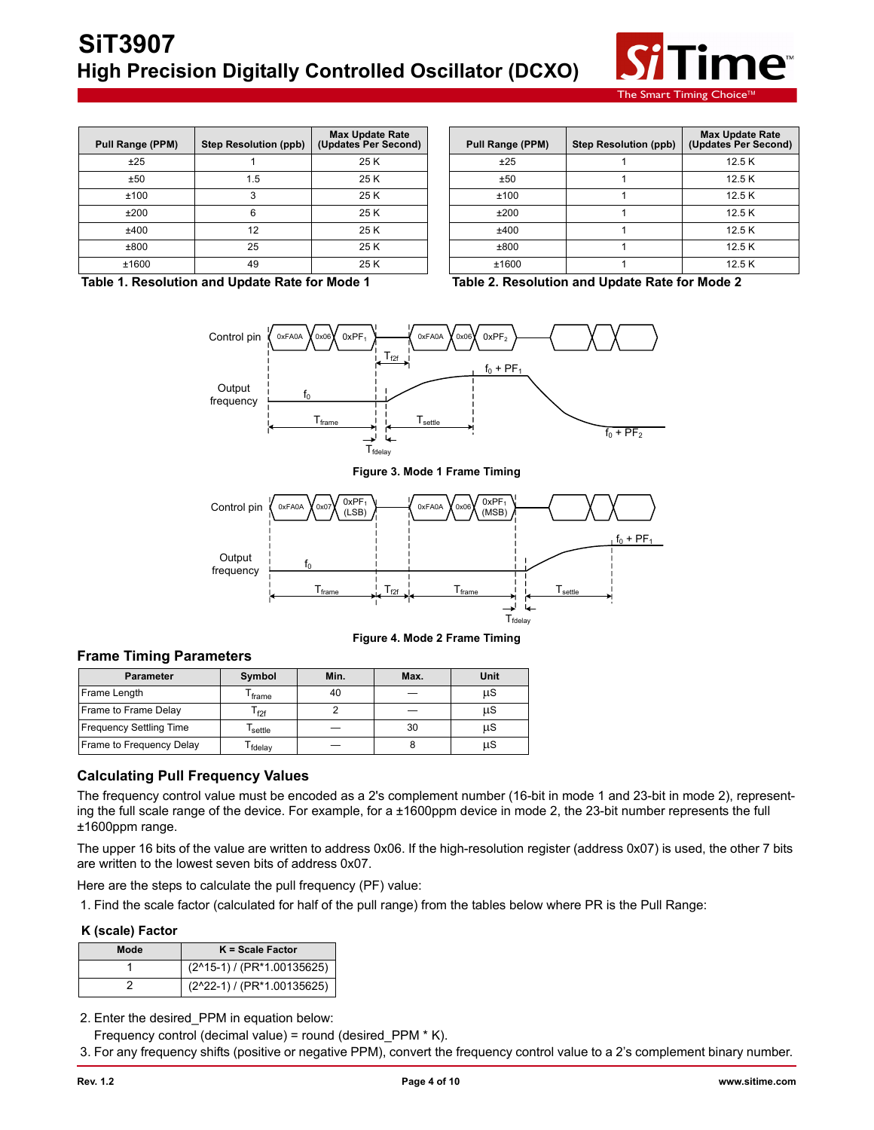

The Smart Timing Choice $^{\text{TM}}$ 

| Pull Range (PPM) | <b>Step Resolution (ppb)</b> | <b>Max Update Rate</b><br>(Updates Per Second) | Pull Range (PPM) | <b>Step Resolution (ppb)</b> | <b>Max Update</b><br>(Updates Per \ |
|------------------|------------------------------|------------------------------------------------|------------------|------------------------------|-------------------------------------|
| ±25              |                              | 25 K                                           | ±25              |                              | 12.5K                               |
| ±50              | 1.5                          | 25 K                                           | ±50              |                              | 12.5K                               |
| ±100             |                              | 25 K                                           | ±100             |                              | 12.5K                               |
| ±200             |                              | 25 K                                           | ±200             |                              | 12.5K                               |
| ±400             | 12                           | 25 K                                           | ±400             |                              | 12.5K                               |
| ±800             | 25                           | 25 K                                           | ±800             |                              | 12.5K                               |
| ±1600            | 49                           | 25 K                                           | ±1600            |                              | 12.5K                               |

| nge (PPM)    | Step Resolution (ppb) | <b>Max Update Rate</b><br>(Updates Per Second) | Pull Range (PPM) | <b>Step Resolution (ppb)</b> | <b>Max Update Rate</b><br>(Updates Per Second) |
|--------------|-----------------------|------------------------------------------------|------------------|------------------------------|------------------------------------------------|
| ±25          |                       | 25 K                                           | ±25              |                              | 12.5K                                          |
| ±50          | 1.5                   | 25 K                                           | ±50              |                              | 12.5K                                          |
| 100          |                       | 25 K                                           | ±100             |                              | 12.5K                                          |
| <b>200</b> ء |                       | 25 K                                           | ±200             |                              | 12.5K                                          |
| -400         | 12                    | 25 K                                           | ±400             |                              | 12.5K                                          |
| -800         | 25                    | 25 K                                           | ±800             |                              | 12.5K                                          |
| 1600         | 49                    | 25 K                                           | ±1600            |                              | 12.5K                                          |

**Table 1. Resolution and Update Rate for Mode 1 Table 2. Resolution and Update Rate for Mode 2**



**Figure 3. Mode 1 Frame Timing**



**Figure 4. Mode 2 Frame Timing**

### **Frame Timing Parameters**

| <b>Parameter</b>               | Symbol                      | Min. | Max. | Unit |
|--------------------------------|-----------------------------|------|------|------|
| Frame Length                   | frame                       | 40   |      | μS   |
| Frame to Frame Delay           | $\mathsf{r}_{\mathsf{f2f}}$ |      |      | μS   |
| <b>Frequency Settling Time</b> | settle                      |      | 30   | μS   |
| Frame to Frequency Delay       | fdelay                      |      |      | μS   |

### **Calculating Pull Frequency Values**

The frequency control value must be encoded as a 2's complement number (16-bit in mode 1 and 23-bit in mode 2), representing the full scale range of the device. For example, for a ±1600ppm device in mode 2, the 23-bit number represents the full ±1600ppm range.

The upper 16 bits of the value are written to address 0x06. If the high-resolution register (address 0x07) is used, the other 7 bits are written to the lowest seven bits of address 0x07.

Here are the steps to calculate the pull frequency (PF) value:

1. Find the scale factor (calculated for half of the pull range) from the tables below where PR is the Pull Range:

#### **K (scale) Factor**

| Mode | $K = Scale Factor$                        |
|------|-------------------------------------------|
|      | $(2^{\wedge}15-1)/(PR^*1.00135625)$       |
|      | $(2^22-1)$ / (PR <sup>*</sup> 1.00135625) |

2. Enter the desired\_PPM in equation below:

Frequency control (decimal value) = round (desired\_PPM \* K).

3. For any frequency shifts (positive or negative PPM), convert the frequency control value to a 2's complement binary number.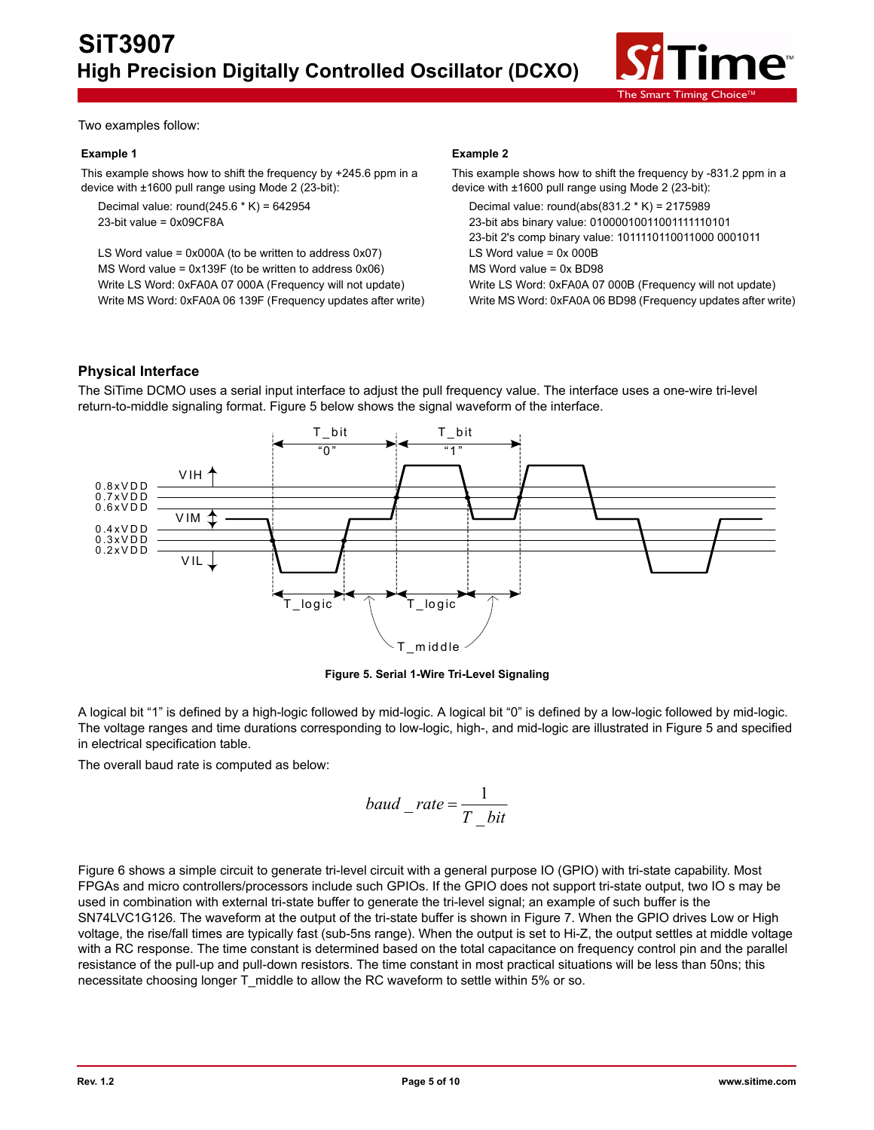

Two examples follow:

#### **Example 1**

This example shows how to shift the frequency by +245.6 ppm in a device with ±1600 pull range using Mode 2 (23-bit):

Decimal value: round(245.6  $*$  K) = 642954 23-bit value = 0x09CF8A

LS Word value =  $0x000A$  (to be written to address  $0x07$ ) MS Word value = 0x139F (to be written to address 0x06) Write LS Word: 0xFA0A 07 000A (Frequency will not update) Write MS Word: 0xFA0A 06 139F (Frequency updates after write)

#### **Example 2**

```
This example shows how to shift the frequency by -831.2 ppm in a 
device with ±1600 pull range using Mode 2 (23-bit):
```
Decimal value: round(abs(831.2 \* K) = 2175989 23-bit abs binary value: 01000010011001111110101 23-bit 2's comp binary value: 1011110110011000 0001011 LS Word value = 0x 000B MS Word value = 0x BD98 Write LS Word: 0xFA0A 07 000B (Frequency will not update) Write MS Word: 0xFA0A 06 BD98 (Frequency updates after write)

### **Physical Interface**

The SiTime DCMO uses a serial input interface to adjust the pull frequency value. The interface uses a one-wire tri-level return-to-middle signaling format. Figure 5 below shows the signal waveform of the interface.



**Figure 5. Serial 1-Wire Tri-Level Signaling**

A logical bit "1" is defined by a high-logic followed by mid-logic. A logical bit "0" is defined by a low-logic followed by mid-logic. The voltage ranges and time durations corresponding to low-logic, high-, and mid-logic are illustrated in Figure 5 and specified in electrical specification table.

The overall baud rate is computed as below:

$$
baud\_rate = \frac{1}{T\_bit}
$$

Figure 6 shows a simple circuit to generate tri-level circuit with a general purpose IO (GPIO) with tri-state capability. Most FPGAs and micro controllers/processors include such GPIOs. If the GPIO does not support tri-state output, two IO s may be used in combination with external tri-state buffer to generate the tri-level signal; an example of such buffer is the SN74LVC1G126. The waveform at the output of the tri-state buffer is shown in Figure 7. When the GPIO drives Low or High voltage, the rise/fall times are typically fast (sub-5ns range). When the output is set to Hi-Z, the output settles at middle voltage with a RC response. The time constant is determined based on the total capacitance on frequency control pin and the parallel resistance of the pull-up and pull-down resistors. The time constant in most practical situations will be less than 50ns; this necessitate choosing longer T\_middle to allow the RC waveform to settle within 5% or so.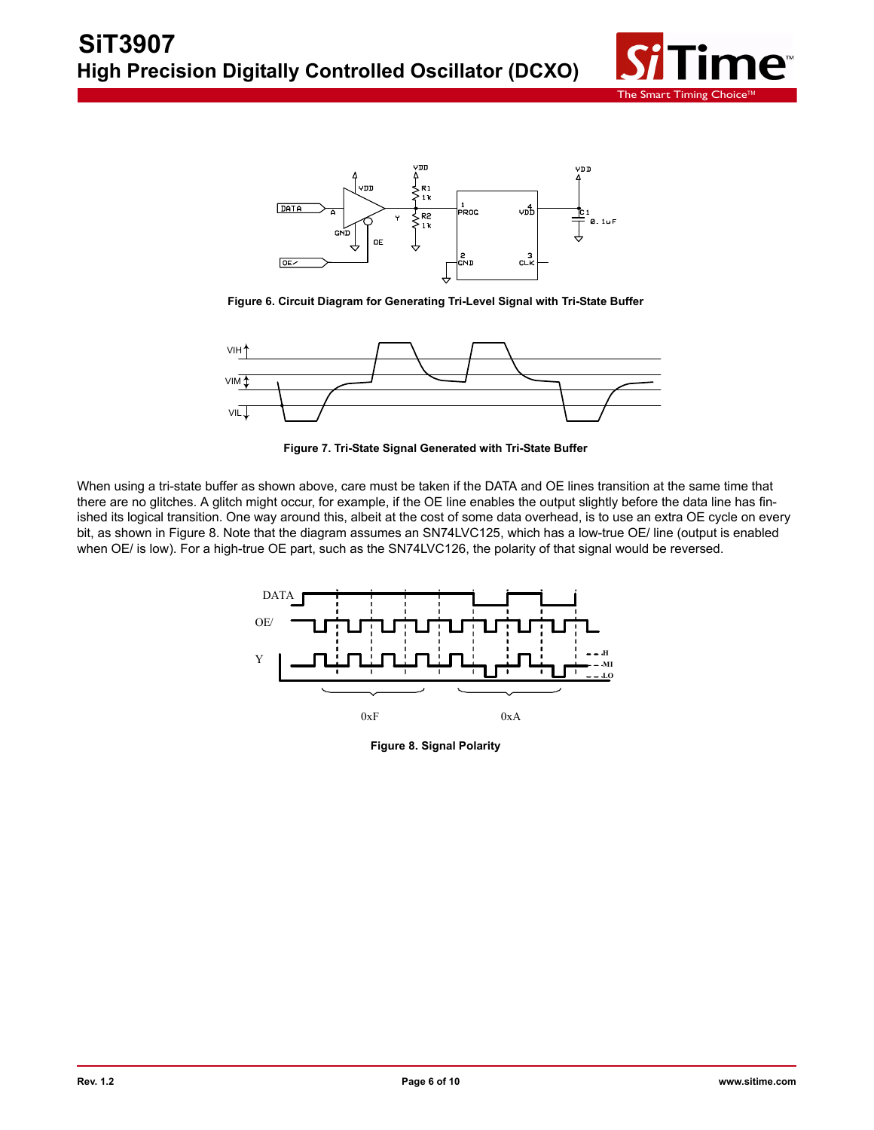



**Figure 6. Circuit Diagram for Generating Tri-Level Signal with Tri-State Buffer**



**Figure 7. Tri-State Signal Generated with Tri-State Buffer**

When using a tri-state buffer as shown above, care must be taken if the DATA and OE lines transition at the same time that there are no glitches. A glitch might occur, for example, if the OE line enables the output slightly before the data line has finished its logical transition. One way around this, albeit at the cost of some data overhead, is to use an extra OE cycle on every bit, as shown in Figure 8. Note that the diagram assumes an SN74LVC125, which has a low-true OE/ line (output is enabled when OE/ is low). For a high-true OE part, such as the SN74LVC126, the polarity of that signal would be reversed.



**Figure 8. Signal Polarity**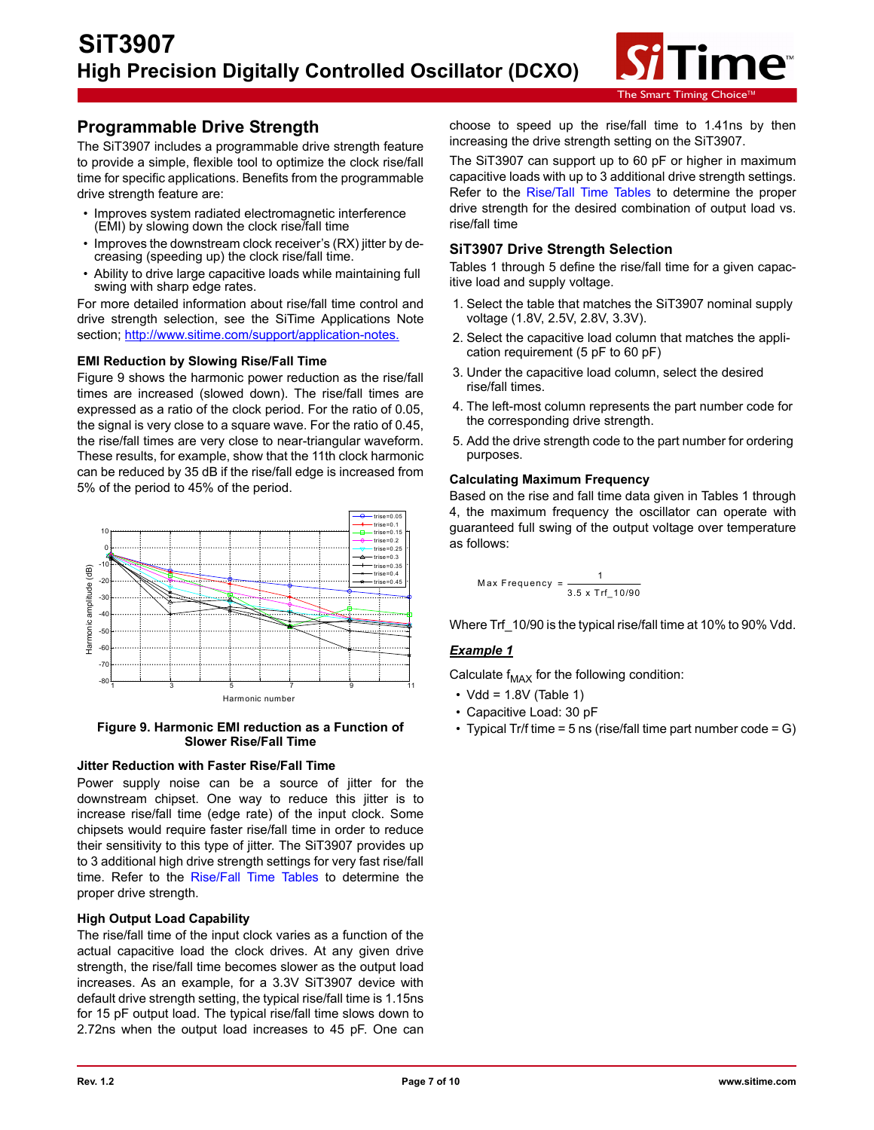

# **Programmable Drive Strength**

The SiT3907 includes a programmable drive strength feature to provide a simple, flexible tool to optimize the clock rise/fall time for specific applications. Benefits from the programmable drive strength feature are:

- Improves system radiated electromagnetic interference (EMI) by slowing down the clock rise/fall time
- Improves the downstream clock receiver's (RX) jitter by decreasing (speeding up) the clock rise/fall time.
- Ability to drive large capacitive loads while maintaining full swing with sharp edge rates.

For more detailed information about rise/fall time control and drive strength selection, see the SiTime Applications Note section; http://www.sitime.com/support/application-notes.

#### **EMI Reduction by Slowing Rise/Fall Time**

Figure 9 shows the harmonic power reduction as the rise/fall times are increased (slowed down). The rise/fall times are expressed as a ratio of the clock period. For the ratio of 0.05, the signal is very close to a square wave. For the ratio of 0.45, the rise/fall times are very close to near-triangular waveform. These results, for example, show that the 11th clock harmonic can be reduced by 35 dB if the rise/fall edge is increased from 5% of the period to 45% of the period.



**Figure 9. Harmonic EMI reduction as a Function of Slower Rise/Fall Time**

#### **Jitter Reduction with Faster Rise/Fall Time**

Power supply noise can be a source of jitter for the downstream chipset. One way to reduce this jitter is to increase rise/fall time (edge rate) of the input clock. Some chipsets would require faster rise/fall time in order to reduce their sensitivity to this type of jitter. The SiT3907 provides up to 3 additional high drive strength settings for very fast rise/fall time. Refer to the Rise/Fall Time Tables to determine the proper drive strength.

### **High Output Load Capability**

The rise/fall time of the input clock varies as a function of the actual capacitive load the clock drives. At any given drive strength, the rise/fall time becomes slower as the output load increases. As an example, for a 3.3V SiT3907 device with default drive strength setting, the typical rise/fall time is 1.15ns for 15 pF output load. The typical rise/fall time slows down to 2.72ns when the output load increases to 45 pF. One can choose to speed up the rise/fall time to 1.41ns by then increasing the drive strength setting on the SiT3907.

The SiT3907 can support up to 60 pF or higher in maximum capacitive loads with up to 3 additional drive strength settings. Refer to the [Rise/Tall Time Tables](#page-7-0) to determine the proper drive strength for the desired combination of output load vs. rise/fall time

### **SiT3907 Drive Strength Selection**

Tables 1 through 5 define the rise/fall time for a given capacitive load and supply voltage.

- 1. Select the table that matches the SiT3907 nominal supply voltage (1.8V, 2.5V, 2.8V, 3.3V).
- 2. Select the capacitive load column that matches the application requirement (5 pF to 60 pF)
- 3. Under the capacitive load column, select the desired rise/fall times.
- 4. The left-most column represents the part number code for the corresponding drive strength.
- 5. Add the drive strength code to the part number for ordering purposes.

### **Calculating Maximum Frequency**

Based on the rise and fall time data given in Tables 1 through 4, the maximum frequency the oscillator can operate with guaranteed full swing of the output voltage over temperature as follows:

$$
\frac{1}{2} \frac{1}{2} \frac{1}{2} \frac{1}{2} \frac{1}{2} \frac{1}{2} \frac{1}{2} \frac{1}{2} \frac{1}{2} \frac{1}{2} \frac{1}{2} \frac{1}{2} \frac{1}{2} \frac{1}{2} \frac{1}{2} \frac{1}{2} \frac{1}{2} \frac{1}{2} \frac{1}{2} \frac{1}{2} \frac{1}{2} \frac{1}{2} \frac{1}{2} \frac{1}{2} \frac{1}{2} \frac{1}{2} \frac{1}{2} \frac{1}{2} \frac{1}{2} \frac{1}{2} \frac{1}{2} \frac{1}{2} \frac{1}{2} \frac{1}{2} \frac{1}{2} \frac{1}{2} \frac{1}{2} \frac{1}{2} \frac{1}{2} \frac{1}{2} \frac{1}{2} \frac{1}{2} \frac{1}{2} \frac{1}{2} \frac{1}{2} \frac{1}{2} \frac{1}{2} \frac{1}{2} \frac{1}{2} \frac{1}{2} \frac{1}{2} \frac{1}{2} \frac{1}{2} \frac{1}{2} \frac{1}{2} \frac{1}{2} \frac{1}{2} \frac{1}{2} \frac{1}{2} \frac{1}{2} \frac{1}{2} \frac{1}{2} \frac{1}{2} \frac{1}{2} \frac{1}{2} \frac{1}{2} \frac{1}{2} \frac{1}{2} \frac{1}{2} \frac{1}{2} \frac{1}{2} \frac{1}{2} \frac{1}{2} \frac{1}{2} \frac{1}{2} \frac{1}{2} \frac{1}{2} \frac{1}{2} \frac{1}{2} \frac{1}{2} \frac{1}{2} \frac{1}{2} \frac{1}{2} \frac{1}{2} \frac{1}{2} \frac{1}{2} \frac{1}{2} \frac{1}{2} \frac{1}{2} \frac{1}{2} \frac{1}{2} \frac{1}{2} \frac{1}{2} \frac{1}{2} \frac{1}{2} \frac{1}{2} \frac{1}{2} \frac{1}{2} \frac{1}{2} \frac{1}{2} \frac{1}{2} \frac{1}{2} \frac{1}{2} \frac{1}{2} \frac{1}{2} \frac{1}{2} \frac{1}{2} \frac{1}{2} \frac{1
$$

Where Trf  $10/90$  is the typical rise/fall time at 10% to 90% Vdd.

### *Example 1*

Calculate  $f_{MAX}$  for the following condition:

- $\cdot$  Vdd = 1.8V (Table 1)
- Capacitive Load: 30 pF
- Typical Tr/f time = 5 ns (rise/fall time part number code = G)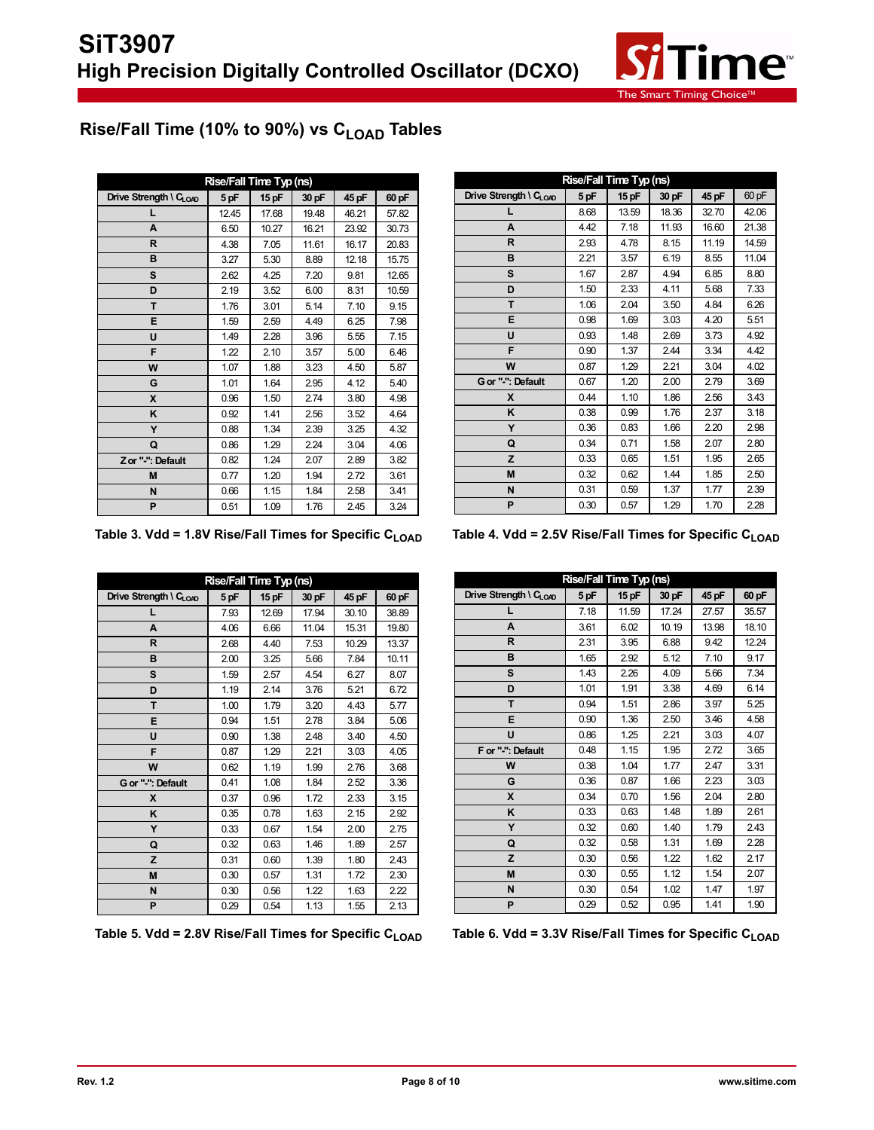

# <span id="page-7-0"></span>Rise/Fall Time (10% to 90%) vs C<sub>LOAD</sub> Tables

| Rise/Fall Time Typ (ns) |       |         |       |       |       |  |  |  |
|-------------------------|-------|---------|-------|-------|-------|--|--|--|
| Drive Strength \ CLOAD  | 5 pF  | $15$ pF | 30 pF | 45 pF | 60 pF |  |  |  |
|                         | 12.45 | 17.68   | 19.48 | 46.21 | 57.82 |  |  |  |
| A                       | 6.50  | 10.27   | 16.21 | 23.92 | 30.73 |  |  |  |
| R                       | 4.38  | 7.05    | 11.61 | 16.17 | 20.83 |  |  |  |
| B                       | 3.27  | 5.30    | 8.89  | 12.18 | 15.75 |  |  |  |
| S                       | 2.62  | 4.25    | 7.20  | 9.81  | 12.65 |  |  |  |
| D                       | 2.19  | 3.52    | 6.00  | 8.31  | 10.59 |  |  |  |
| T                       | 1.76  | 3.01    | 5.14  | 7.10  | 9.15  |  |  |  |
| Е                       | 1.59  | 2.59    | 4.49  | 6.25  | 7.98  |  |  |  |
| U                       | 1.49  | 2.28    | 3.96  | 5.55  | 7.15  |  |  |  |
| F                       | 1.22  | 2.10    | 3.57  | 5.00  | 6.46  |  |  |  |
| W                       | 1.07  | 1.88    | 3.23  | 4.50  | 5.87  |  |  |  |
| G                       | 1.01  | 1.64    | 2.95  | 4.12  | 5.40  |  |  |  |
| X                       | 0.96  | 1.50    | 2.74  | 3.80  | 4.98  |  |  |  |
| Κ                       | 0.92  | 1.41    | 2.56  | 3.52  | 4.64  |  |  |  |
| Y                       | 0.88  | 1.34    | 2.39  | 3.25  | 4.32  |  |  |  |
| Q                       | 0.86  | 1.29    | 2.24  | 3.04  | 4.06  |  |  |  |
| Zor "-": Default        | 0.82  | 1.24    | 2.07  | 2.89  | 3.82  |  |  |  |
| M                       | 0.77  | 1.20    | 1.94  | 2.72  | 3.61  |  |  |  |
| N                       | 0.66  | 1.15    | 1.84  | 2.58  | 3.41  |  |  |  |
| P                       | 0.51  | 1.09    | 1.76  | 2.45  | 3.24  |  |  |  |

| Rise/Fall Time Typ (ns)            |      |       |       |       |       |  |  |  |
|------------------------------------|------|-------|-------|-------|-------|--|--|--|
| Drive Strength \ C <sub>LOAD</sub> | 5 pF | 15 pF | 30 pF | 45 pF | 60 pF |  |  |  |
| L                                  | 8.68 | 13.59 | 18.36 | 32.70 | 42.06 |  |  |  |
| A                                  | 4.42 | 7.18  | 11.93 | 16.60 | 21.38 |  |  |  |
| R                                  | 2.93 | 4.78  | 8.15  | 11.19 | 14.59 |  |  |  |
| B                                  | 2.21 | 3.57  | 6.19  | 8.55  | 11.04 |  |  |  |
| S                                  | 1.67 | 2.87  | 4.94  | 6.85  | 8.80  |  |  |  |
| D                                  | 1.50 | 2.33  | 4.11  | 5.68  | 7.33  |  |  |  |
| T.                                 | 1.06 | 2.04  | 3.50  | 4.84  | 6.26  |  |  |  |
| Е                                  | 0.98 | 1.69  | 3.03  | 4.20  | 5.51  |  |  |  |
| U                                  | 0.93 | 1.48  | 2.69  | 3.73  | 4.92  |  |  |  |
| F                                  | 0.90 | 1.37  | 2.44  | 3.34  | 4.42  |  |  |  |
| W                                  | 0.87 | 1.29  | 2.21  | 3.04  | 4.02  |  |  |  |
| G or "-": Default                  | 0.67 | 1.20  | 2.00  | 2.79  | 3.69  |  |  |  |
| X                                  | 0.44 | 1.10  | 1.86  | 2.56  | 3.43  |  |  |  |
| Κ                                  | 0.38 | 0.99  | 1.76  | 2.37  | 3.18  |  |  |  |
| Y                                  | 0.36 | 0.83  | 1.66  | 2.20  | 2.98  |  |  |  |
| Q                                  | 0.34 | 0.71  | 1.58  | 2.07  | 2.80  |  |  |  |
| z                                  | 0.33 | 0.65  | 1.51  | 1.95  | 2.65  |  |  |  |
| M                                  | 0.32 | 0.62  | 1.44  | 1.85  | 2.50  |  |  |  |
| N                                  | 0.31 | 0.59  | 1.37  | 1.77  | 2.39  |  |  |  |
| P                                  | 0.30 | 0.57  | 1.29  | 1.70  | 2.28  |  |  |  |

Table 3. Vdd = 1.8V Rise/Fall Times for Specific C<sub>LOAD</sub> Table 4. Vdd = 2.5V Rise/Fall Times for Specific C<sub>LOAD</sub>

| Rise/Fall Time Typ (ns)            |      |       |       |       |       |  |  |  |
|------------------------------------|------|-------|-------|-------|-------|--|--|--|
| Drive Strength \ C <sub>LOAD</sub> | 5 pF | 15 pF | 30 pF | 45 pF | 60 pF |  |  |  |
| L                                  | 7.93 | 12.69 | 17.94 | 30.10 | 38.89 |  |  |  |
| A                                  | 4.06 | 6.66  | 11.04 | 15.31 | 19.80 |  |  |  |
| R                                  | 2.68 | 4.40  | 7.53  | 10.29 | 13.37 |  |  |  |
| B                                  | 2.00 | 3.25  | 5.66  | 7.84  | 10.11 |  |  |  |
| S                                  | 1.59 | 2.57  | 4.54  | 6.27  | 8.07  |  |  |  |
| D                                  | 1.19 | 2.14  | 3.76  | 5.21  | 6.72  |  |  |  |
| T.                                 | 1.00 | 1.79  | 3.20  | 4.43  | 5.77  |  |  |  |
| Е                                  | 0.94 | 1.51  | 2.78  | 3.84  | 5.06  |  |  |  |
| U                                  | 0.90 | 1.38  | 2.48  | 3.40  | 4.50  |  |  |  |
| F                                  | 0.87 | 1.29  | 2.21  | 3.03  | 4.05  |  |  |  |
| W                                  | 0.62 | 1.19  | 1.99  | 2.76  | 3.68  |  |  |  |
| G or "-": Default                  | 0.41 | 1.08  | 1.84  | 2.52  | 3.36  |  |  |  |
| X                                  | 0.37 | 0.96  | 1.72  | 2.33  | 3.15  |  |  |  |
| K                                  | 0.35 | 0.78  | 1.63  | 2.15  | 2.92  |  |  |  |
| Y                                  | 0.33 | 0.67  | 1.54  | 2.00  | 2.75  |  |  |  |
| Q                                  | 0.32 | 0.63  | 1.46  | 1.89  | 2.57  |  |  |  |
| Z                                  | 0.31 | 0.60  | 1.39  | 1.80  | 2.43  |  |  |  |
| M                                  | 0.30 | 0.57  | 1.31  | 1.72  | 2.30  |  |  |  |
| N                                  | 0.30 | 0.56  | 1.22  | 1.63  | 2.22  |  |  |  |
| P                                  | 0.29 | 0.54  | 1.13  | 1.55  | 2.13  |  |  |  |

Table 5. Vdd = 2.8V Rise/Fall Times for Specific C<sub>LOAD</sub> Table 6. Vdd = 3.3V Rise/Fall Times for Specific C<sub>LOAD</sub>

| <b>Rise/Fall Time Typ (ns)</b>     |      |       |       |       |       |  |
|------------------------------------|------|-------|-------|-------|-------|--|
| Drive Strength \ C <sub>LOAD</sub> | 5 pF | 15 pF | 30 pF | 45 pF | 60 pF |  |
| L                                  | 7.18 | 11.59 | 17.24 | 27.57 | 35.57 |  |
| A                                  | 3.61 | 6.02  | 10.19 | 13.98 | 18.10 |  |
| R                                  | 2.31 | 3.95  | 6.88  | 9.42  | 12.24 |  |
| B                                  | 1.65 | 2.92  | 5.12  | 7.10  | 9.17  |  |
| S                                  | 1.43 | 2.26  | 4.09  | 5.66  | 7.34  |  |
| D                                  | 1.01 | 1.91  | 3.38  | 4.69  | 6.14  |  |
| T                                  | 0.94 | 1.51  | 2.86  | 3.97  | 5.25  |  |
| Е                                  | 0.90 | 1.36  | 2.50  | 3.46  | 4.58  |  |
| U                                  | 0.86 | 1.25  | 2.21  | 3.03  | 4.07  |  |
| F or "-": Default                  | 0.48 | 1.15  | 1.95  | 2.72  | 3.65  |  |
| W                                  | 0.38 | 1.04  | 1.77  | 2.47  | 3.31  |  |
| G                                  | 0.36 | 0.87  | 1.66  | 2.23  | 3.03  |  |
| X                                  | 0.34 | 0.70  | 1.56  | 2.04  | 2.80  |  |
| ĸ                                  | 0.33 | 0.63  | 1.48  | 1.89  | 2.61  |  |
| Y                                  | 0.32 | 0.60  | 1.40  | 1.79  | 2.43  |  |
| Q                                  | 0.32 | 0.58  | 1.31  | 1.69  | 2.28  |  |
| z                                  | 0.30 | 0.56  | 1.22  | 1.62  | 2.17  |  |
| M                                  | 0.30 | 0.55  | 1.12  | 1.54  | 2.07  |  |
| N                                  | 0.30 | 0.54  | 1.02  | 1.47  | 1.97  |  |
| P                                  | 0.29 | 0.52  | 0.95  | 1.41  | 1.90  |  |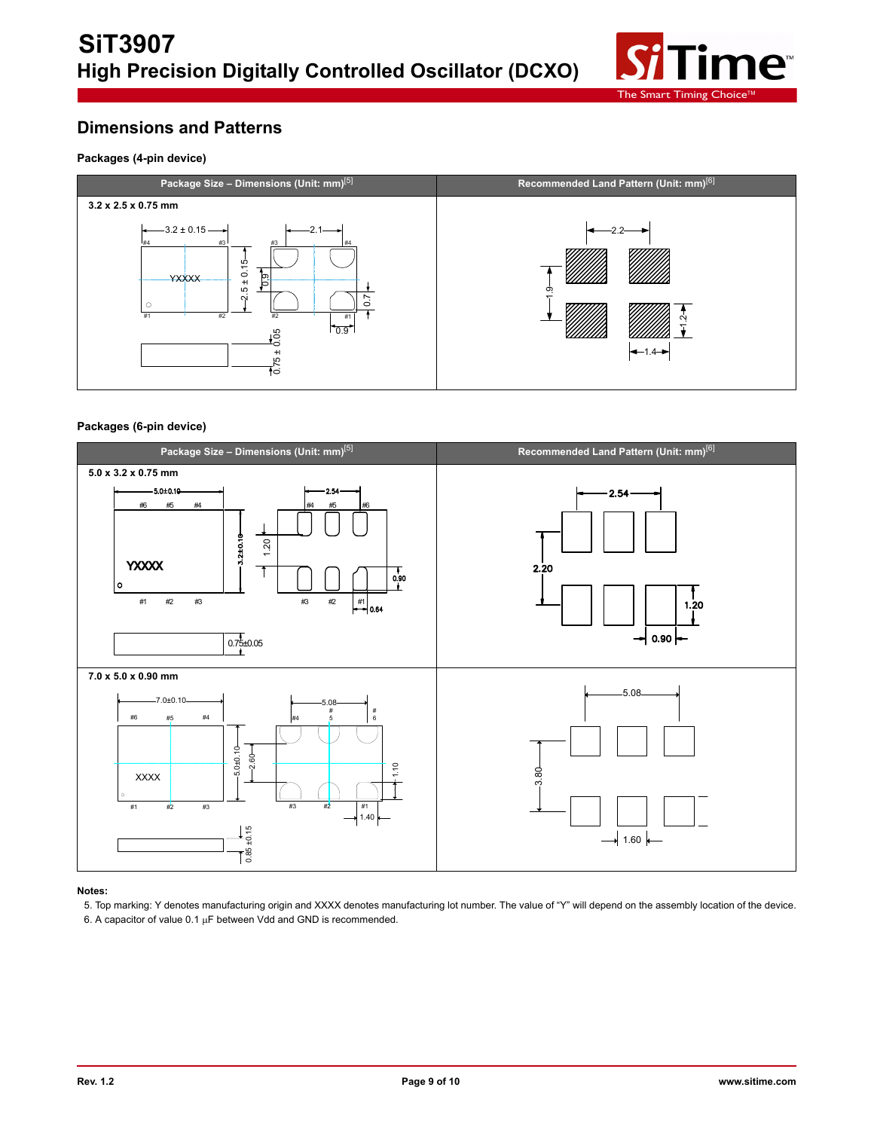

# **Dimensions and Patterns**

#### **Packages (4-pin device)**



#### **Packages (6-pin device)**



#### **Notes:**

5. Top marking: Y denotes manufacturing origin and XXXX denotes manufacturing lot number. The value of "Y" will depend on the assembly location of the device. 6. A capacitor of value  $0.1 \mu F$  between Vdd and GND is recommended.